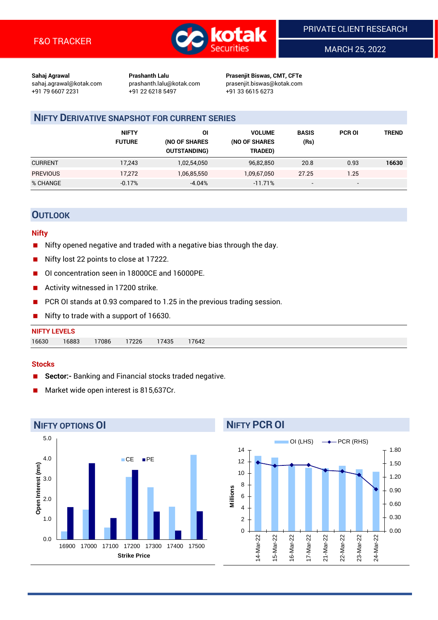

MARCH 25, 2022

**Sahaj Agrawal Prashanth Lalu Prasenjit Biswas, CMT, CFTe** +91 79 6607 2231 +91 22 6218 5497 +91 33 6615 6273

sahaj.agrawal@kotak.com [prashanth.lalu@kotak.com](mailto:prashanth.lalu@kotak.com) prasenjit.biswas@kotak.com

# **NIFTY DERIVATIVE SNAPSHOT FOR CURRENT SERIES**

|                 | <b>NIFTY</b><br><b>FUTURE</b> | ΟI<br>(NO OF SHARES<br><b>OUTSTANDING)</b> | <b>VOLUME</b><br>(NO OF SHARES<br>TRADED) | <b>BASIS</b><br>(Rs)     | <b>PCR OI</b> | <b>TREND</b> |
|-----------------|-------------------------------|--------------------------------------------|-------------------------------------------|--------------------------|---------------|--------------|
| <b>CURRENT</b>  | 17,243                        | 1,02,54,050                                | 96,82,850                                 | 20.8                     | 0.93          | 16630        |
| <b>PREVIOUS</b> | 17,272                        | 1,06,85,550                                | 1,09,67,050                               | 27.25                    | 1.25          |              |
| % CHANGE        | $-0.17%$                      | $-4.04%$                                   | $-11.71%$                                 | $\overline{\phantom{0}}$ | -             |              |

## **OUTLOOK**

#### **Nifty**

- Nifty opened negative and traded with a negative bias through the day.
- Nifty lost 22 points to close at 17222.
- OI concentration seen in 18000CE and 16000PE.
- Activity witnessed in 17200 strike.
- PCR OI stands at 0.93 compared to 1.25 in the previous trading session.
- Nifty to trade with a support of 16630.

#### **Stocks**

- **Sector:-** Banking and Financial stocks traded negative.
- Market wide open interest is 815,637Cr.



# **NIFTY PCR OI**

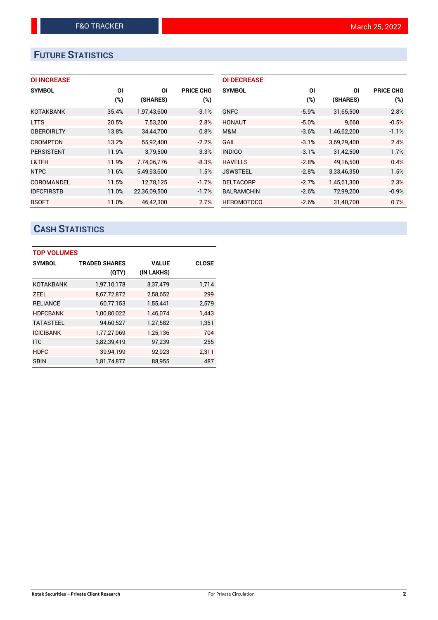# **FUTURE STATISTICS**

| <b>OI INCREASE</b> |       |              |                  | <b>OI DECREASE</b> |         |             |                  |
|--------------------|-------|--------------|------------------|--------------------|---------|-------------|------------------|
| <b>SYMBOL</b>      | ΟI    | ΟI           | <b>PRICE CHG</b> | <b>SYMBOL</b>      | ΟI      | ΟI          | <b>PRICE CHG</b> |
|                    | (%)   | (SHARES)     | (%)              |                    | (%)     | (SHARES)    | $(\%)$           |
| <b>KOTAKBANK</b>   | 35.4% | 1,97,43,600  | $-3.1%$          | <b>GNFC</b>        | $-5.9%$ | 31,65,500   | 2.8%             |
| <b>LTTS</b>        | 20.5% | 7,53,200     | 2.8%             | <b>HONAUT</b>      | $-5.0%$ | 9,660       | $-0.5%$          |
| <b>OBEROIRLTY</b>  | 13.8% | 34,44,700    | 0.8%             | M&M                | $-3.6%$ | 1,46,62,200 | $-1.1%$          |
| <b>CROMPTON</b>    | 13.2% | 55.92.400    | $-2.2%$          | <b>GAIL</b>        | $-3.1%$ | 3,69,29,400 | 2.4%             |
| <b>PERSISTENT</b>  | 11.9% | 3,79,500     | 3.3%             | <b>INDIGO</b>      | $-3.1%$ | 31,42,500   | 1.7%             |
| L&TFH              | 11.9% | 7,74,06,776  | $-8.3%$          | <b>HAVELLS</b>     | $-2.8%$ | 49,16,500   | 0.4%             |
| <b>NTPC</b>        | 11.6% | 5,49,93,600  | 1.5%             | <b>JSWSTEEL</b>    | $-2.8%$ | 3,33,46,350 | 1.5%             |
| COROMANDEL         | 11.5% | 12,78,125    | $-1.7%$          | <b>DELTACORP</b>   | $-2.7%$ | 1,45,61,300 | 2.3%             |
| <b>IDFCFIRSTB</b>  | 11.0% | 22,36,09,500 | $-1.7%$          | <b>BALRAMCHIN</b>  | $-2.6%$ | 72,99,200   | $-0.9%$          |
| <b>BSOFT</b>       | 11.0% | 46.42.300    | 2.7%             | <b>HEROMOTOCO</b>  | $-2.6%$ | 31.40.700   | 0.7%             |

# **CASH STATISTICS**

| <b>TOP VOLUMES</b> |                      |              |              |  |  |  |  |  |
|--------------------|----------------------|--------------|--------------|--|--|--|--|--|
| <b>SYMBOL</b>      | <b>TRADED SHARES</b> | <b>VALUE</b> | <b>CLOSE</b> |  |  |  |  |  |
|                    | (QTY)                | (IN LAKHS)   |              |  |  |  |  |  |
| <b>KOTAKBANK</b>   | 1,97,10,178          | 3,37,479     | 1,714        |  |  |  |  |  |
| <b>ZEEL</b>        | 8,67,72,872          | 2,58,652     | 299          |  |  |  |  |  |
| <b>RELIANCE</b>    | 60,77,153            | 1,55,441     | 2,579        |  |  |  |  |  |
| <b>HDFCBANK</b>    | 1,00,80,022          | 1,46,074     | 1,443        |  |  |  |  |  |
| <b>TATASTEEL</b>   | 94,60,527            | 1,27,582     | 1,351        |  |  |  |  |  |
| <b>ICICIBANK</b>   | 1,77,27,969          | 1,25,136     | 704          |  |  |  |  |  |
| <b>ITC</b>         | 3,82,39,419          | 97,239       | 255          |  |  |  |  |  |
| <b>HDFC</b>        | 39,94,199            | 92,923       | 2,311        |  |  |  |  |  |
| <b>SBIN</b>        | 1,81,74,877          | 88,955       | 487          |  |  |  |  |  |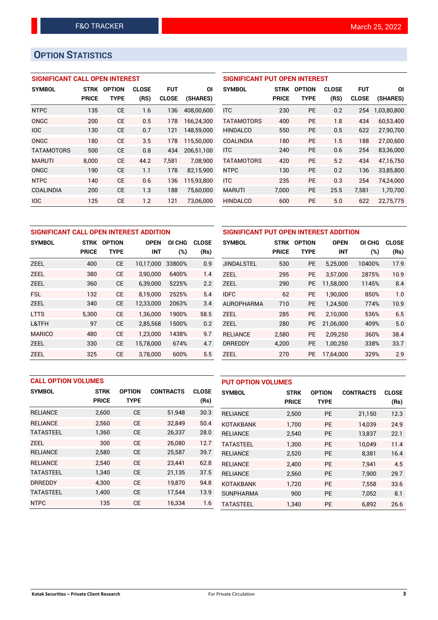# **OPTION STATISTICS**

## **SIGNIFICANT CALL OPEN INTEREST**

| <b>SYMBOL</b>     | <b>STRK</b>  | <b>OPTION</b> | <b>CLOSE</b> | <b>FUT</b>   | ΟI         |
|-------------------|--------------|---------------|--------------|--------------|------------|
|                   | <b>PRICE</b> | <b>TYPE</b>   | (RS)         | <b>CLOSE</b> | (SHARES)   |
| <b>NTPC</b>       | 135          | CE            | 1.6          | 136          | 408,00,600 |
| ONGC              | 200          | CF            | 0.5          | 178          | 166,24,300 |
| <b>IOC</b>        | 130          | CE            | 0.7          | 121          | 148,59,000 |
| ONGC              | 180          | CE            | 3.5          | 178          | 115,50,000 |
| <b>TATAMOTORS</b> | 500          | CE            | 0.8          | 434          | 206,51,100 |
| <b>MARUTI</b>     | 8,000        | CE            | 44.2         | 7,581        | 7,08,900   |
| ONGC              | 190          | CE            | 1.1          | 178          | 82,15,900  |
| <b>NTPC</b>       | 140          | CE            | 0.6          | 136          | 115,93,800 |
| <b>COALINDIA</b>  | 200          | CE            | 1.3          | 188          | 75,60,000  |
| <b>IOC</b>        | 125          | <b>CE</b>     | 1.2          | 121          | 73,06,000  |

## **SIGNIFICANT PUT OPEN INTEREST**

| <b>SYMBOL</b>     | <b>STRK</b><br><b>PRICE</b> | <b>OPTION</b><br>TYPE | <b>CLOSE</b><br>(RS) | <b>FUT</b><br><b>CLOSE</b> | ΟI<br>(SHARES) |
|-------------------|-----------------------------|-----------------------|----------------------|----------------------------|----------------|
| <b>ITC</b>        | 230                         | PF                    | 0.2                  | 254                        | 1,03,80,800    |
| <b>TATAMOTORS</b> | 400                         | <b>PE</b>             | 1.8                  | 434                        | 60,53,400      |
| <b>HINDALCO</b>   | 550                         | PF                    | 0.5                  | 622                        | 27,90,700      |
| <b>COALINDIA</b>  | 180                         | PF                    | 1.5                  | 188                        | 27,00,600      |
| <b>ITC</b>        | 240                         | PF                    | 0.6                  | 254                        | 83,36,000      |
| <b>TATAMOTORS</b> | 420                         | PF                    | 5.2                  | 434                        | 47.16.750      |
| <b>NTPC</b>       | 130                         | <b>PE</b>             | 0.2                  | 136                        | 33,85,800      |
| <b>ITC</b>        | 235                         | <b>PE</b>             | 0.3                  | 254                        | 74,24,000      |
| <b>MARUTI</b>     | 7,000                       | <b>PE</b>             | 25.5                 | 7,581                      | 1,70,700       |
| <b>HINDALCO</b>   | 600                         | <b>PE</b>             | 5.0                  | 622                        | 22,75,775      |

| SIGNIFICANT CALL OPEN INTEREST ADDITION |              |               |             |        |              | SIGNIFICANT PUT OPEN INTEREST ADDITION |              |               |             |        |              |
|-----------------------------------------|--------------|---------------|-------------|--------|--------------|----------------------------------------|--------------|---------------|-------------|--------|--------------|
| <b>SYMBOL</b>                           | STRK         | <b>OPTION</b> | <b>OPEN</b> | OI CHG | <b>CLOSE</b> | <b>SYMBOL</b>                          | <b>STRK</b>  | <b>OPTION</b> | <b>OPEN</b> | OI CHG | <b>CLOSE</b> |
|                                         | <b>PRICE</b> | <b>TYPE</b>   | <b>INT</b>  | (%)    | (Rs)         |                                        | <b>PRICE</b> | <b>TYPE</b>   | <b>INT</b>  | (%)    | (Rs)         |
| <b>ZEEL</b>                             | 400          | <b>CE</b>     | 10.17.000   | 33800% | 0.9          | <b>JINDALSTEL</b>                      | 530          | <b>PE</b>     | 5,25,000    | 10400% | 17.9         |
| <b>ZEEL</b>                             | 380          | <b>CE</b>     | 3.90.000    | 6400%  | 1.4          | <b>ZEEL</b>                            | 295          | <b>PE</b>     | 3.57.000    | 2875%  | 10.9         |
| <b>ZEEL</b>                             | 360          | <b>CE</b>     | 6,39,000    | 5225%  | 2.2          | <b>ZEEL</b>                            | 290          | <b>PE</b>     | 11,58,000   | 1145%  | 8.4          |
| <b>FSL</b>                              | 132          | <b>CE</b>     | 8.19.000    | 2525%  | 5.4          | <b>IDFC</b>                            | 62           | <b>PE</b>     | 1.90.000    | 850%   | 1.0          |
| <b>ZEEL</b>                             | 340          | <b>CE</b>     | 12,33,000   | 2063%  | 3.4          | <b>AUROPHARMA</b>                      | 710          | <b>PE</b>     | 1,24,500    | 774%   | 10.9         |
| <b>LTTS</b>                             | 5,300        | <b>CE</b>     | 1,36,000    | 1900%  | 58.5         | <b>ZEEL</b>                            | 285          | <b>PE</b>     | 2.10.000    | 536%   | 6.5          |
| L&TFH                                   | 97           | <b>CE</b>     | 2,85,568    | 1500%  | 0.2          | <b>ZEEL</b>                            | 280          | PE            | 21,06,000   | 409%   | 5.0          |
| <b>MARICO</b>                           | 480          | <b>CE</b>     | 1.23.000    | 1438%  | 9.7          | <b>RELIANCE</b>                        | 2,580        | PE.           | 2,09,250    | 360%   | 38.4         |
| <b>ZEEL</b>                             | 330          | <b>CE</b>     | 15,78,000   | 674%   | 4.7          | <b>DRREDDY</b>                         | 4,200        | PE            | 1,00,250    | 338%   | 33.7         |
| <b>ZEEL</b>                             | 325          | <b>CE</b>     | 3.78.000    | 600%   | 5.5          | <b>ZEEL</b>                            | 270          | PE.           | 17.64.000   | 329%   | 2.9          |

| <b>CALL OPTION VOLUMES</b> |              |               |                  | <b>PUT OPTION VOLUMES</b> |                  |              |               |                  |              |
|----------------------------|--------------|---------------|------------------|---------------------------|------------------|--------------|---------------|------------------|--------------|
| <b>SYMBOL</b>              | <b>STRK</b>  | <b>OPTION</b> | <b>CONTRACTS</b> | <b>CLOSE</b>              | <b>SYMBOL</b>    | <b>STRK</b>  | <b>OPTION</b> | <b>CONTRACTS</b> | <b>CLOSE</b> |
|                            | <b>PRICE</b> | <b>TYPE</b>   |                  | (Rs)                      |                  | <b>PRICE</b> | <b>TYPE</b>   |                  | (Rs)         |
| <b>RELIANCE</b>            | 2,600        | <b>CE</b>     | 51,948           | 30.3                      | <b>RELIANCE</b>  | 2,500        | PE            | 21,150           | 12.3         |
| <b>RELIANCE</b>            | 2.560        | <b>CE</b>     | 32.849           | 50.4                      | <b>KOTAKBANK</b> | 1,700        | <b>PE</b>     | 14.039           | 24.9         |
| <b>TATASTEEL</b>           | 1,360        | <b>CE</b>     | 26,337           | 28.0                      | <b>RELIANCE</b>  | 2,540        | PE            | 13,837           | 22.1         |
| <b>ZEEL</b>                | 300          | <b>CE</b>     | 26.080           | 12.7                      | <b>TATASTEEL</b> | 1,300        | <b>PE</b>     | 10.049           | 11.4         |
| <b>RELIANCE</b>            | 2,580        | <b>CE</b>     | 25,587           | 39.7                      | <b>RELIANCE</b>  | 2,520        | <b>PE</b>     | 8,381            | 16.4         |
| <b>RELIANCE</b>            | 2.540        | <b>CE</b>     | 23,441           | 62.8                      | <b>RELIANCE</b>  | 2.400        | <b>PE</b>     | 7.941            | 4.5          |
| <b>TATASTEEL</b>           | 1,340        | <b>CE</b>     | 21,135           | 37.5                      | <b>RELIANCE</b>  | 2,560        | PE            | 7,900            | 29.7         |
| <b>DRREDDY</b>             | 4.300        | <b>CE</b>     | 19.870           | 94.8                      | <b>KOTAKBANK</b> | 1,720        | <b>PE</b>     | 7,558            | 33.6         |
| <b>TATASTEEL</b>           | 1,400        | <b>CE</b>     | 17,544           | 13.9                      | <b>SUNPHARMA</b> | 900          | PE            | 7,052            | 8.1          |
| <b>NTPC</b>                | 135          | <b>CE</b>     | 16,334           | 1.6                       | TATASTEEL        | 1.340        | PE            | 6.892            | 26.6         |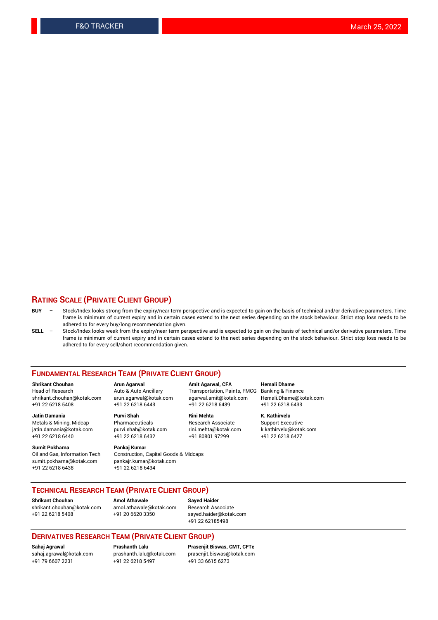### **RATING SCALE (PRIVATE CLIENT GROUP)**

- **BUY**  Stock/Index looks strong from the expiry/near term perspective and is expected to gain on the basis of technical and/or derivative parameters. Time frame is minimum of current expiry and in certain cases extend to the next series depending on the stock behaviour. Strict stop loss needs to be adhered to for every buy/long recommendation given.
- **SELL** Stock/Index looks weak from the expiry/near term perspective and is expected to gain on the basis of technical and/or derivative parameters. Time frame is minimum of current expiry and in certain cases extend to the next series depending on the stock behaviour. Strict stop loss needs to be adhered to for every sell/short recommendation given.

#### **FUNDAMENTAL RESEARCH TEAM (PRIVATE CLIENT GROUP)**

**Shrikant Chouhan Arun Agarwal Amit Agarwal, CFA Hemali Dhame** shrikant.chouhan@kotak.com arun.agarwal@kotak.com agarwal.amit@kotak.com Hemali.Dhame@kotak.com +91 22 6218 5408 +91 22 6218 6443 +91 22 6218 6439 +91 22 6218 6433

Metals & Mining, Midcap Pharmaceuticals Pharmaceuticals Research Associate Support Executive<br>
iatin.damania@kotak.com purvi.shah@kotak.com rini.mehta@kotak.com k.kathirvelu@kotak.com jatin.damania@kotak.com

**Sumit Pokharna** Pankaj Kumar<br>Oil and Gas, Information Tech Construction, sumit.pokharna@kotak.com pankajr.kumar@kotak.com +91 22 6218 6438 +91 22 6218 6434

+91 22 6218 6440 +91 22 6218 6432 +91 80801 97299 +91 22 6218 6427

Construction, Capital Goods & Midcaps

Transportation, Paints, FMCG

**Jatin Damania Purvi Shah Rini Mehta K. Kathirvelu**

## **TECHNICAL RESEARCH TEAM (PRIVATE CLIENT GROUP)**

**Shrikant Chouhan Amol Athawale Sayed Haider** [shrikant.chouhan@kotak.com](mailto:shrikant.chouhan@kotak.com) [amol.athawale@kotak.com](mailto:amol.athawale@kotak.com) Research Associate +91 22 6218 5408 +91 20 6620 3350 [sayed.haider@kotak.com](mailto:sayed.haider@kotak.com)

+91 22 62185498

#### **DERIVATIVES RESEARCH TEAM (PRIVATE CLIENT GROUP)**

+91 79 6607 2231 +91 22 6218 5497 +91 33 6615 6273

**Sahaj Agrawal Prashanth Lalu Prasenjit Biswas, CMT, CFTe** [prasenjit.biswas@kotak.com](mailto:prasenjit.biswas@kotak.com)